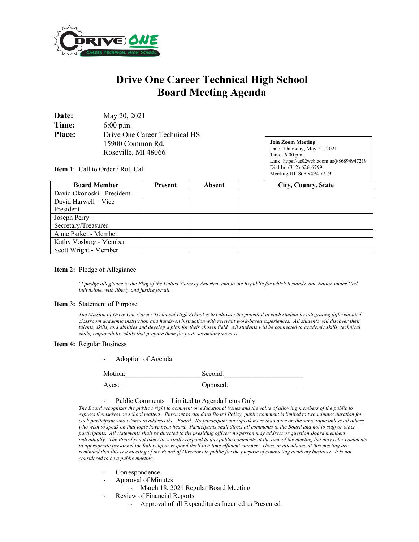

# **Drive One Career Technical High School Board Meeting Agenda**

| Date:         | May 20, 2021                  |
|---------------|-------------------------------|
| Time:         | $6:00$ p.m.                   |
| <b>Place:</b> | Drive One Career Technical HS |
|               | 15900 Common Rd.              |
|               | Roseville, MI 48066           |

**Join Zoom Meeting** Date: Thursday, May 20, 2021 Time: 6:00 p.m. Link: https://us02web.zoom.us/j/86894947219 Dial In: (312) 626-6799 Meeting ID: 868 9494 7219

**Item 1**: Call to Order / Roll Call

| <b>Board Member</b>        | <b>Present</b> | Absent | <b>City, County, State</b> |
|----------------------------|----------------|--------|----------------------------|
| David Okonoski - President |                |        |                            |
| David Harwell – Vice       |                |        |                            |
| President                  |                |        |                            |
| Joseph Perry -             |                |        |                            |
| Secretary/Treasurer        |                |        |                            |
| Anne Parker - Member       |                |        |                            |
| Kathy Vosburg - Member     |                |        |                            |
| Scott Wright - Member      |                |        |                            |

### **Item 2:** Pledge of Allegiance

*"I pledge allegiance to the Flag of the United States of America, and to the Republic for which it stands, one Nation under God, indivisible, with liberty and justice for all."* 

#### **Item 3:** Statement of Purpose

*The Mission of Drive One Career Technical High School is to cultivate the potential in each student by integrating differentiated classroom academic instruction and hands-on instruction with relevant work-based experiences. All students will discover their talents, skills, and abilities and develop a plan for their chosen field. All students will be connected to academic skills, technical skills, employability skills that prepare them for post- secondary success.*

#### **Item 4:** Regular Business

| Adoption of Agenda |          |
|--------------------|----------|
| Motion:            | Second:  |
| Ayes: :            | Opposed: |

## Public Comments – Limited to Agenda Items Only

*The Board recognizes the public's right to comment on educational issues and the value of allowing members of the public to express themselves on school matters. Pursuant to standard Board Policy, public comment is limited to two minutes duration for each participant who wishes to address the Board. No participant may speak more than once on the same topic unless all others who wish to speak on that topic have been heard. Participants shall direct all comments to the Board and not to staff or other participants. All statements shall be directed to the presiding officer; no person may address or question Board members individually. The Board is not likely to verbally respond to any public comments at the time of the meeting but may refer comments to appropriate personnel for follow up or respond itself in a time efficient manner. Those in attendance at this meeting are reminded that this is a meeting of the Board of Directors in public for the purpose of conducting academy business. It is not considered to be a public meeting.*

- Correspondence
- Approval of Minutes
	- o March 18, 2021 Regular Board Meeting
	- Review of Financial Reports
		- o Approval of all Expenditures Incurred as Presented